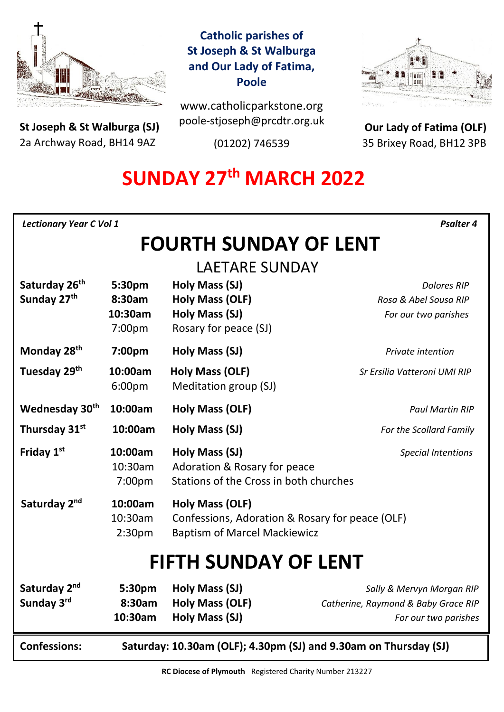

**St Joseph & St Walburga (SJ)** 2a Archway Road, BH14 9AZ 

# **Catholic parishes of St Joseph & St Walburga and Our Lady of Fatima, Poole**

www.catholicparkstone.org poole-stjoseph@prcdtr.org.uk

(01202) 746539



**Our Lady of Fatima (OLF)** 35 Brixey Road, BH12 3PB

# **SUNDAY 27 th MARCH 2022**

| <b>Lectionary Year C Vol 1</b><br><b>Psalter 4</b>                                      |                                          |                                                                                                           |                                                                                          |
|-----------------------------------------------------------------------------------------|------------------------------------------|-----------------------------------------------------------------------------------------------------------|------------------------------------------------------------------------------------------|
| <b>FOURTH SUNDAY OF LENT</b>                                                            |                                          |                                                                                                           |                                                                                          |
| <b>LAETARE SUNDAY</b>                                                                   |                                          |                                                                                                           |                                                                                          |
| Saturday 26 <sup>th</sup><br>Sunday 27th                                                | 5:30pm<br>8:30am<br>10:30am<br>7:00pm    | Holy Mass (SJ)<br><b>Holy Mass (OLF)</b><br>Holy Mass (SJ)<br>Rosary for peace (SJ)                       | <b>Dolores RIP</b><br>Rosa & Abel Sousa RIP<br>For our two parishes                      |
| Monday 28 <sup>th</sup>                                                                 | 7:00pm                                   | Holy Mass (SJ)                                                                                            | Private intention                                                                        |
| Tuesday 29 <sup>th</sup>                                                                | 10:00am<br>6:00pm                        | <b>Holy Mass (OLF)</b><br>Meditation group (SJ)                                                           | Sr Ersilia Vatteroni UMI RIP                                                             |
| Wednesday 30 <sup>th</sup>                                                              | 10:00am                                  | Holy Mass (OLF)                                                                                           | <b>Paul Martin RIP</b>                                                                   |
| Thursday 31st                                                                           | 10:00am                                  | Holy Mass (SJ)                                                                                            | For the Scollard Family                                                                  |
| Friday 1st                                                                              | 10:00am<br>10:30am<br>7:00pm             | Holy Mass (SJ)<br>Adoration & Rosary for peace<br>Stations of the Cross in both churches                  | <b>Special Intentions</b>                                                                |
| Saturday 2nd                                                                            | 10:00am<br>10:30am<br>2:30 <sub>pm</sub> | Holy Mass (OLF)<br>Confessions, Adoration & Rosary for peace (OLF)<br><b>Baptism of Marcel Mackiewicz</b> |                                                                                          |
| <b>FIFTH SUNDAY OF LENT</b>                                                             |                                          |                                                                                                           |                                                                                          |
| Saturday 2 <sup>nd</sup><br>Sunday 3rd                                                  | 5:30pm<br>8:30am<br>10:30am              | Holy Mass (SJ)<br>Holy Mass (OLF)<br>Holy Mass (SJ)                                                       | Sally & Mervyn Morgan RIP<br>Catherine, Raymond & Baby Grace RIP<br>For our two parishes |
| <b>Confessions:</b><br>Saturday: 10.30am (OLF); 4.30pm (SJ) and 9.30am on Thursday (SJ) |                                          |                                                                                                           |                                                                                          |